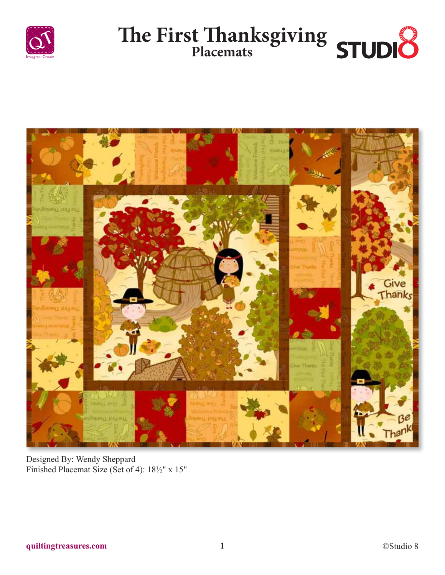





Designed By: Wendy Sheppard Finished Placemat Size (Set of 4): 18½" x 15"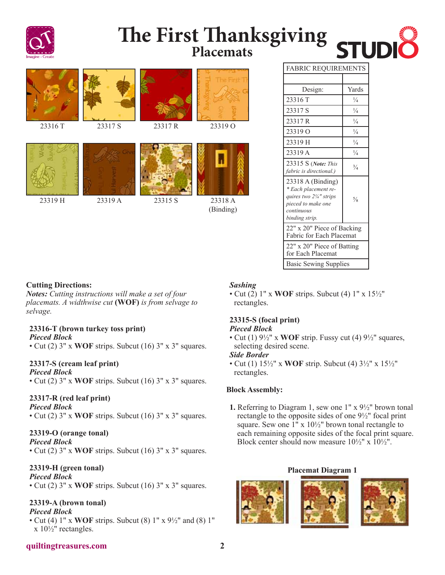

# **The First Thanksgiving Placemats**



| Yards<br>Design:<br>23316 T<br>¼<br>$\frac{1}{4}$<br>23317 S<br>23317 R<br>$\frac{1}{4}$<br>$\frac{1}{4}$<br>23319 O<br>$\frac{1}{4}$<br>23319 H<br>23319 A<br>$\frac{1}{4}$<br>23315 S (Note: This<br>$\frac{3}{4}$<br>fabric is directional.)<br>23318 A (Binding)<br>* Each placement re-<br>quires two 21/4" strips<br>$\frac{5}{8}$<br>pieced to make one<br>continuous<br>binding strip.<br>22" x 20" Piece of Backing<br>Fabric for Each Placemat<br>22" x 20" Piece of Batting<br>for Each Placemat<br><b>Basic Sewing Supplies</b> |                            |  |
|---------------------------------------------------------------------------------------------------------------------------------------------------------------------------------------------------------------------------------------------------------------------------------------------------------------------------------------------------------------------------------------------------------------------------------------------------------------------------------------------------------------------------------------------|----------------------------|--|
|                                                                                                                                                                                                                                                                                                                                                                                                                                                                                                                                             | <b>FABRIC REQUIREMENTS</b> |  |
|                                                                                                                                                                                                                                                                                                                                                                                                                                                                                                                                             |                            |  |
|                                                                                                                                                                                                                                                                                                                                                                                                                                                                                                                                             |                            |  |
|                                                                                                                                                                                                                                                                                                                                                                                                                                                                                                                                             |                            |  |
|                                                                                                                                                                                                                                                                                                                                                                                                                                                                                                                                             |                            |  |
|                                                                                                                                                                                                                                                                                                                                                                                                                                                                                                                                             |                            |  |
|                                                                                                                                                                                                                                                                                                                                                                                                                                                                                                                                             |                            |  |
|                                                                                                                                                                                                                                                                                                                                                                                                                                                                                                                                             |                            |  |
|                                                                                                                                                                                                                                                                                                                                                                                                                                                                                                                                             |                            |  |
|                                                                                                                                                                                                                                                                                                                                                                                                                                                                                                                                             |                            |  |
|                                                                                                                                                                                                                                                                                                                                                                                                                                                                                                                                             |                            |  |
|                                                                                                                                                                                                                                                                                                                                                                                                                                                                                                                                             |                            |  |
|                                                                                                                                                                                                                                                                                                                                                                                                                                                                                                                                             |                            |  |
|                                                                                                                                                                                                                                                                                                                                                                                                                                                                                                                                             |                            |  |
|                                                                                                                                                                                                                                                                                                                                                                                                                                                                                                                                             |                            |  |
|                                                                                                                                                                                                                                                                                                                                                                                                                                                                                                                                             |                            |  |
|                                                                                                                                                                                                                                                                                                                                                                                                                                                                                                                                             |                            |  |
|                                                                                                                                                                                                                                                                                                                                                                                                                                                                                                                                             |                            |  |
|                                                                                                                                                                                                                                                                                                                                                                                                                                                                                                                                             |                            |  |
|                                                                                                                                                                                                                                                                                                                                                                                                                                                                                                                                             |                            |  |
|                                                                                                                                                                                                                                                                                                                                                                                                                                                                                                                                             |                            |  |
|                                                                                                                                                                                                                                                                                                                                                                                                                                                                                                                                             |                            |  |

**STUDI** 

#### **Cutting Directions:**

*Notes: Cutting instructions will make a set of four placemats. A widthwise cut* **(WOF)** *is from selvage to selvage.*

# **23316-T (brown turkey toss print)**

*Pieced Block*

• Cut (2) 3" x **WOF** strips. Subcut (16) 3" x 3" squares.

# **23317-S (cream leaf print)**

*Pieced Block*

• Cut (2) 3" x **WOF** strips. Subcut (16) 3" x 3" squares.

# **23317-R (red leaf print)**

*Pieced Block*

• Cut (2) 3" x **WOF** strips. Subcut (16) 3" x 3" squares.

# **23319-O (orange tonal)**

*Pieced Block* • Cut (2) 3" x **WOF** strips. Subcut (16) 3" x 3" squares.

# **23319-H (green tonal)**

*Pieced Block*

• Cut (2) 3" x **WOF** strips. Subcut (16) 3" x 3" squares.

# **23319-A (brown tonal)**

- *Pieced Block*
- Cut (4) 1" x **WOF** strips. Subcut (8) 1" x 9½" and (8) 1" x 10½" rectangles.

# *Sashing*

• Cut (2) 1" x **WOF** strips. Subcut (4) 1" x 15½" rectangles.

# **23315-S (focal print)**

#### *Pieced Block*

• Cut (1) 9½" x **WOF** strip. Fussy cut (4) 9½" squares, selecting desired scene.

#### *Side Border*

• Cut (1) 15½" x **WOF** strip. Subcut (4) 3½" x 15½" rectangles.

# **Block Assembly:**

**1.** Referring to Diagram 1, sew one 1" x 9½" brown tonal rectangle to the opposite sides of one 9½" focal print square. Sew one 1" x 10½" brown tonal rectangle to each remaining opposite sides of the focal print square. Block center should now measure  $10\frac{1}{2}$ " x  $10\frac{1}{2}$ ".

#### **Placemat Diagram 1**



# **quiltingtreasures.com 2**